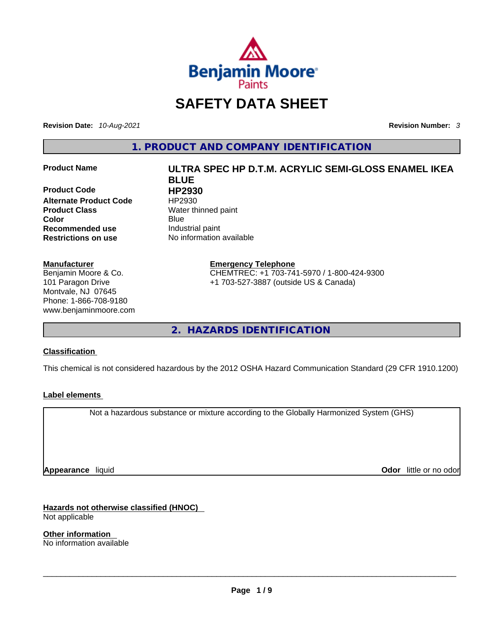

# **SAFETY DATA SHEET**

**Revision Date:** *10-Aug-2021* **Revision Number:** *3*

**1. PRODUCT AND COMPANY IDENTIFICATION** 

**Product Code HP2930 Alternate Product Code HP2930 Product Class Water thinned paint Color** Blue Blue **Recommended use The Industrial paint<br>
<b>Restrictions on use** No information

#### **Manufacturer**

Benjamin Moore & Co. 101 Paragon Drive Montvale, NJ 07645 Phone: 1-866-708-9180 www.benjaminmoore.com

# **Product Name ULTRA SPEC HP D.T.M. ACRYLIC SEMI-GLOSS ENAMEL IKEA BLUE**

**No information available** 

**Emergency Telephone** CHEMTREC: +1 703-741-5970 / 1-800-424-9300 +1 703-527-3887 (outside US & Canada)

**2. HAZARDS IDENTIFICATION** 

#### **Classification**

This chemical is not considered hazardous by the 2012 OSHA Hazard Communication Standard (29 CFR 1910.1200)

#### **Label elements**

Not a hazardous substance or mixture according to the Globally Harmonized System (GHS)

**Appearance** liquid

**Odor** little or no odor

**Hazards not otherwise classified (HNOC)**  Not applicable

**Other information**  No information available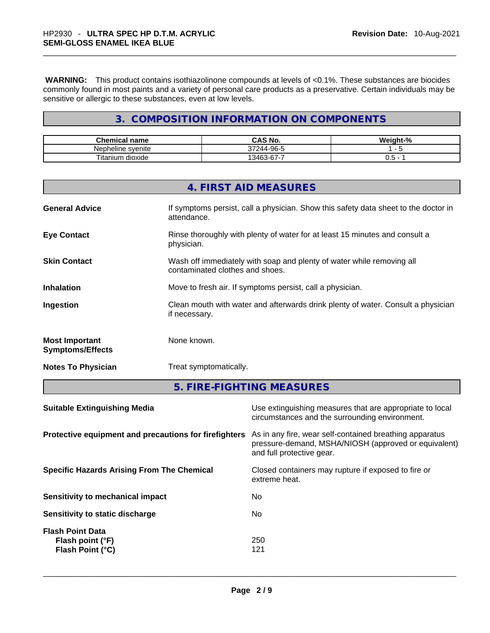**WARNING:** This product contains isothiazolinone compounds at levels of <0.1%. These substances are biocides commonly found in most paints and a variety of personal care products as a preservative. Certain individuals may be sensitive or allergic to these substances, even at low levels.

#### **3. COMPOSITION INFORMATION ON COMPONENTS**

| Chemical name              | `AS No.                          | Weight-% |
|----------------------------|----------------------------------|----------|
| nlar.<br>heline<br>svenite | -96-5<br>,,,<br>$\cdot$          | -        |
| dioxide<br>itanium         | $\sim$<br>$\triangle$ ARC<br>3-r | -<br>U.J |

|                                                  | 4. FIRST AID MEASURES                                                                                    |
|--------------------------------------------------|----------------------------------------------------------------------------------------------------------|
| <b>General Advice</b>                            | If symptoms persist, call a physician. Show this safety data sheet to the doctor in<br>attendance.       |
| <b>Eye Contact</b>                               | Rinse thoroughly with plenty of water for at least 15 minutes and consult a<br>physician.                |
| <b>Skin Contact</b>                              | Wash off immediately with soap and plenty of water while removing all<br>contaminated clothes and shoes. |
| <b>Inhalation</b>                                | Move to fresh air. If symptoms persist, call a physician.                                                |
| Ingestion                                        | Clean mouth with water and afterwards drink plenty of water. Consult a physician<br>if necessary.        |
| <b>Most Important</b><br><b>Symptoms/Effects</b> | None known.                                                                                              |
| <b>Notes To Physician</b>                        | Treat symptomatically.                                                                                   |

**5. FIRE-FIGHTING MEASURES** 

| <b>Suitable Extinguishing Media</b>                             | Use extinguishing measures that are appropriate to local<br>circumstances and the surrounding environment.                                   |
|-----------------------------------------------------------------|----------------------------------------------------------------------------------------------------------------------------------------------|
| Protective equipment and precautions for firefighters           | As in any fire, wear self-contained breathing apparatus<br>pressure-demand, MSHA/NIOSH (approved or equivalent)<br>and full protective gear. |
| <b>Specific Hazards Arising From The Chemical</b>               | Closed containers may rupture if exposed to fire or<br>extreme heat.                                                                         |
| Sensitivity to mechanical impact                                | No                                                                                                                                           |
| Sensitivity to static discharge                                 | No.                                                                                                                                          |
| <b>Flash Point Data</b><br>Flash point (°F)<br>Flash Point (°C) | 250<br>121                                                                                                                                   |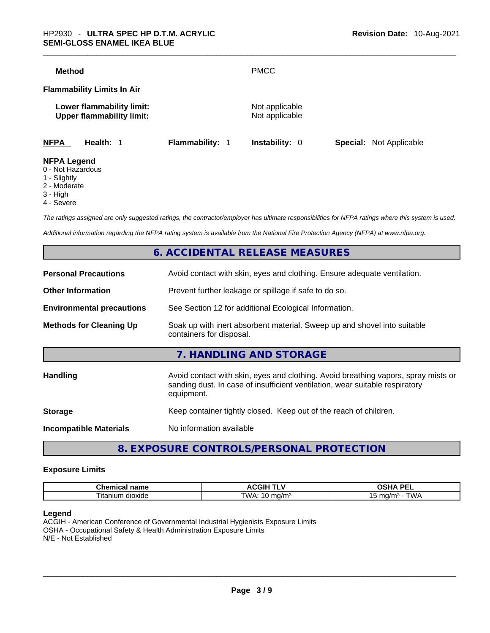| <b>Method</b>                                                 |                 | <b>PMCC</b>                      |                                |
|---------------------------------------------------------------|-----------------|----------------------------------|--------------------------------|
| <b>Flammability Limits In Air</b>                             |                 |                                  |                                |
| Lower flammability limit:<br><b>Upper flammability limit:</b> |                 | Not applicable<br>Not applicable |                                |
| <b>NFPA</b><br>Health: 1                                      | Flammability: 1 | <b>Instability: 0</b>            | <b>Special: Not Applicable</b> |
| <b>NFPA Legend</b><br>0 - Not Hazardous                       |                 |                                  |                                |

- 1 Slightly
- 2 Moderate
- 3 High
- 4 Severe

*The ratings assigned are only suggested ratings, the contractor/employer has ultimate responsibilities for NFPA ratings where this system is used.* 

*Additional information regarding the NFPA rating system is available from the National Fire Protection Agency (NFPA) at www.nfpa.org.* 

#### **6. ACCIDENTAL RELEASE MEASURES**

| <b>Personal Precautions</b>      | Avoid contact with skin, eyes and clothing. Ensure adequate ventilation.                                                                                                         |
|----------------------------------|----------------------------------------------------------------------------------------------------------------------------------------------------------------------------------|
| <b>Other Information</b>         | Prevent further leakage or spillage if safe to do so.                                                                                                                            |
| <b>Environmental precautions</b> | See Section 12 for additional Ecological Information.                                                                                                                            |
| <b>Methods for Cleaning Up</b>   | Soak up with inert absorbent material. Sweep up and shovel into suitable<br>containers for disposal.                                                                             |
|                                  | 7. HANDLING AND STORAGE                                                                                                                                                          |
| <b>Handling</b>                  | Avoid contact with skin, eyes and clothing. Avoid breathing vapors, spray mists or<br>sanding dust. In case of insufficient ventilation, wear suitable respiratory<br>equipment. |
| <b>Storage</b>                   | Keep container tightly closed. Keep out of the reach of children.                                                                                                                |
| <b>Incompatible Materials</b>    | No information available                                                                                                                                                         |
|                                  |                                                                                                                                                                                  |

#### **8. EXPOSURE CONTROLS/PERSONAL PROTECTION**

#### **Exposure Limits**

| -------<br>-------<br>⊤name<br>emical<br>…ner | -----<br>. .<br>.<br>"<br>,,,,,        | <b>DEI</b><br>$\mathbf{r}$<br>эп.<br>-- |
|-----------------------------------------------|----------------------------------------|-----------------------------------------|
| $\sim$<br>l itanium<br>dioxide                | TWA.<br>$\sim$<br>n/m·<br>$\mathbf{u}$ | ma/m<br>' WL<br>nJ                      |

#### **Legend**

ACGIH - American Conference of Governmental Industrial Hygienists Exposure Limits OSHA - Occupational Safety & Health Administration Exposure Limits N/E - Not Established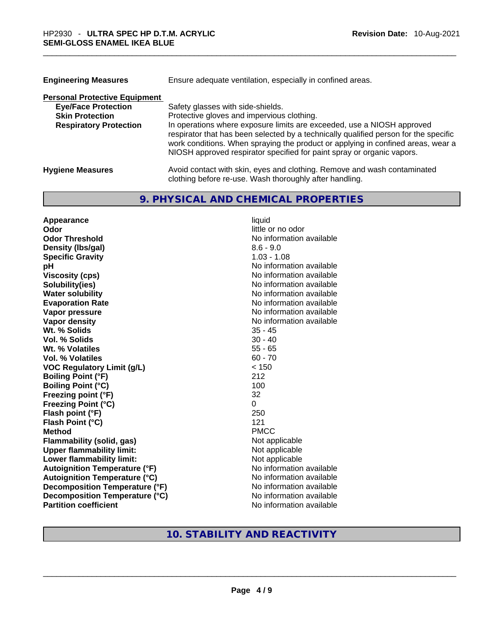| <b>Engineering Measures</b>          | Ensure adequate ventilation, especially in confined areas.                                                                                                                                                                                                                                                                   |
|--------------------------------------|------------------------------------------------------------------------------------------------------------------------------------------------------------------------------------------------------------------------------------------------------------------------------------------------------------------------------|
| <b>Personal Protective Equipment</b> |                                                                                                                                                                                                                                                                                                                              |
| <b>Eye/Face Protection</b>           | Safety glasses with side-shields.                                                                                                                                                                                                                                                                                            |
| <b>Skin Protection</b>               | Protective gloves and impervious clothing.                                                                                                                                                                                                                                                                                   |
| <b>Respiratory Protection</b>        | In operations where exposure limits are exceeded, use a NIOSH approved<br>respirator that has been selected by a technically qualified person for the specific<br>work conditions. When spraying the product or applying in confined areas, wear a<br>NIOSH approved respirator specified for paint spray or organic vapors. |
| <b>Hygiene Measures</b>              | Avoid contact with skin, eyes and clothing. Remove and wash contaminated<br>clothing before re-use. Wash thoroughly after handling.                                                                                                                                                                                          |

### **9. PHYSICAL AND CHEMICAL PROPERTIES**

| Appearance                           | liquid                   |
|--------------------------------------|--------------------------|
| Odor                                 | little or no odor        |
| <b>Odor Threshold</b>                | No information available |
| Density (Ibs/gal)                    | $8.6 - 9.0$              |
| <b>Specific Gravity</b>              | $1.03 - 1.08$            |
| рH                                   | No information available |
| <b>Viscosity (cps)</b>               | No information available |
| Solubility(ies)                      | No information available |
| <b>Water solubility</b>              | No information available |
| <b>Evaporation Rate</b>              | No information available |
| Vapor pressure                       | No information available |
| Vapor density                        | No information available |
| Wt. % Solids                         | $35 - 45$                |
| Vol. % Solids                        | $30 - 40$                |
| Wt. % Volatiles                      | $55 - 65$                |
| Vol. % Volatiles                     | $60 - 70$                |
| <b>VOC Regulatory Limit (g/L)</b>    | < 150                    |
| <b>Boiling Point (°F)</b>            | 212                      |
| <b>Boiling Point (°C)</b>            | 100                      |
| Freezing point (°F)                  | 32                       |
| <b>Freezing Point (°C)</b>           | $\Omega$                 |
| Flash point (°F)                     | 250                      |
| Flash Point (°C)                     | 121                      |
| <b>Method</b>                        | <b>PMCC</b>              |
| <b>Flammability (solid, gas)</b>     | Not applicable           |
| <b>Upper flammability limit:</b>     | Not applicable           |
| <b>Lower flammability limit:</b>     | Not applicable           |
| <b>Autoignition Temperature (°F)</b> | No information available |
| <b>Autoignition Temperature (°C)</b> | No information available |
| Decomposition Temperature (°F)       | No information available |
| Decomposition Temperature (°C)       | No information available |
| <b>Partition coefficient</b>         | No information available |

## **10. STABILITY AND REACTIVITY**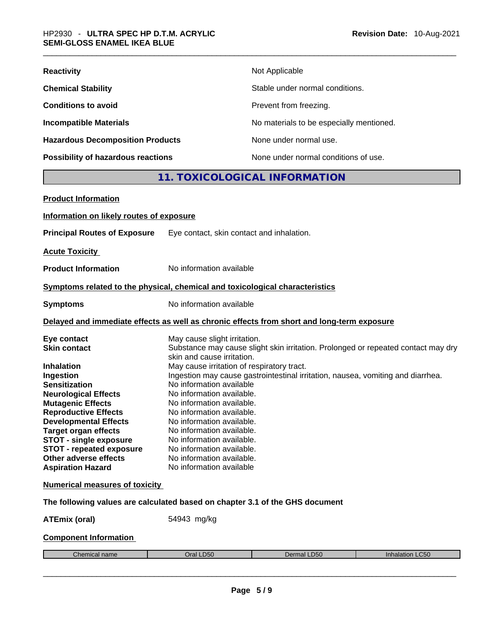| <b>Reactivity</b>                       | Not Applicable                           |
|-----------------------------------------|------------------------------------------|
| <b>Chemical Stability</b>               | Stable under normal conditions.          |
| <b>Conditions to avoid</b>              | Prevent from freezing.                   |
| <b>Incompatible Materials</b>           | No materials to be especially mentioned. |
| <b>Hazardous Decomposition Products</b> | None under normal use.                   |
| Possibility of hazardous reactions      | None under normal conditions of use.     |

### **11. TOXICOLOGICAL INFORMATION**

| <b>Product Information</b>                                                                 |                                            |                                                                                   |                 |  |
|--------------------------------------------------------------------------------------------|--------------------------------------------|-----------------------------------------------------------------------------------|-----------------|--|
| Information on likely routes of exposure                                                   |                                            |                                                                                   |                 |  |
| <b>Principal Routes of Exposure</b>                                                        | Eye contact, skin contact and inhalation.  |                                                                                   |                 |  |
| <b>Acute Toxicity</b>                                                                      |                                            |                                                                                   |                 |  |
| <b>Product Information</b>                                                                 | No information available                   |                                                                                   |                 |  |
| Symptoms related to the physical, chemical and toxicological characteristics               |                                            |                                                                                   |                 |  |
| <b>Symptoms</b>                                                                            | No information available                   |                                                                                   |                 |  |
| Delayed and immediate effects as well as chronic effects from short and long-term exposure |                                            |                                                                                   |                 |  |
| Eye contact                                                                                | May cause slight irritation.               |                                                                                   |                 |  |
| <b>Skin contact</b>                                                                        |                                            | Substance may cause slight skin irritation. Prolonged or repeated contact may dry |                 |  |
|                                                                                            | skin and cause irritation.                 |                                                                                   |                 |  |
| <b>Inhalation</b>                                                                          | May cause irritation of respiratory tract. |                                                                                   |                 |  |
| Ingestion                                                                                  |                                            | Ingestion may cause gastrointestinal irritation, nausea, vomiting and diarrhea.   |                 |  |
| <b>Sensitization</b>                                                                       | No information available                   |                                                                                   |                 |  |
| <b>Neurological Effects</b>                                                                | No information available.                  |                                                                                   |                 |  |
| <b>Mutagenic Effects</b>                                                                   | No information available.                  |                                                                                   |                 |  |
| <b>Reproductive Effects</b>                                                                | No information available.                  |                                                                                   |                 |  |
| <b>Developmental Effects</b>                                                               | No information available.                  |                                                                                   |                 |  |
| <b>Target organ effects</b>                                                                | No information available.                  |                                                                                   |                 |  |
| <b>STOT - single exposure</b>                                                              | No information available.                  |                                                                                   |                 |  |
| <b>STOT - repeated exposure</b>                                                            | No information available.                  |                                                                                   |                 |  |
| Other adverse effects                                                                      | No information available.                  |                                                                                   |                 |  |
| <b>Aspiration Hazard</b>                                                                   | No information available                   |                                                                                   |                 |  |
| <b>Numerical measures of toxicity</b>                                                      |                                            |                                                                                   |                 |  |
| The following values are calculated based on chapter 3.1 of the GHS document               |                                            |                                                                                   |                 |  |
| <b>ATEmix (oral)</b>                                                                       | 54943 mg/kg                                |                                                                                   |                 |  |
| <b>Component Information</b>                                                               |                                            |                                                                                   |                 |  |
| Chemical name                                                                              | Oral LD50                                  | Dermal LD50                                                                       | Inhalation LC50 |  |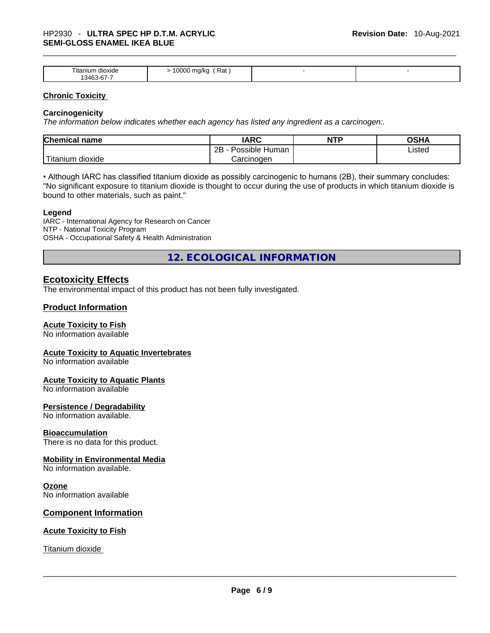| litanium<br>dioxide<br>$\sim$<br>13463<br>3-b/-<br>ັ | Rat<br>0000<br>mg/kg<br>$\sim$<br>. . |  |
|------------------------------------------------------|---------------------------------------|--|

#### **Chronic Toxicity**

#### **Carcinogenicity**

*The information below indicates whether each agency has listed any ingredient as a carcinogen:.* 

| <b>Chemical name</b>  | IARC                 | <b>NTP</b> | OSHA   |
|-----------------------|----------------------|------------|--------|
|                       | Possible Human<br>2B |            | Listed |
| Titanium 、<br>dioxide | Carcinoɑen           |            |        |

• Although IARC has classified titanium dioxide as possibly carcinogenic to humans (2B), their summary concludes: "No significant exposure to titanium dioxide is thought to occur during the use of products in which titanium dioxide is bound to other materials, such as paint."

#### **Legend**

IARC - International Agency for Research on Cancer NTP - National Toxicity Program OSHA - Occupational Safety & Health Administration

**12. ECOLOGICAL INFORMATION** 

#### **Ecotoxicity Effects**

The environmental impact of this product has not been fully investigated.

#### **Product Information**

#### **Acute Toxicity to Fish**

No information available

#### **Acute Toxicity to Aquatic Invertebrates**

No information available

#### **Acute Toxicity to Aquatic Plants**

No information available

#### **Persistence / Degradability**

No information available.

#### **Bioaccumulation**

There is no data for this product.

#### **Mobility in Environmental Media**

No information available.

#### **Ozone**

No information available

#### **Component Information**

#### **Acute Toxicity to Fish**

Titanium dioxide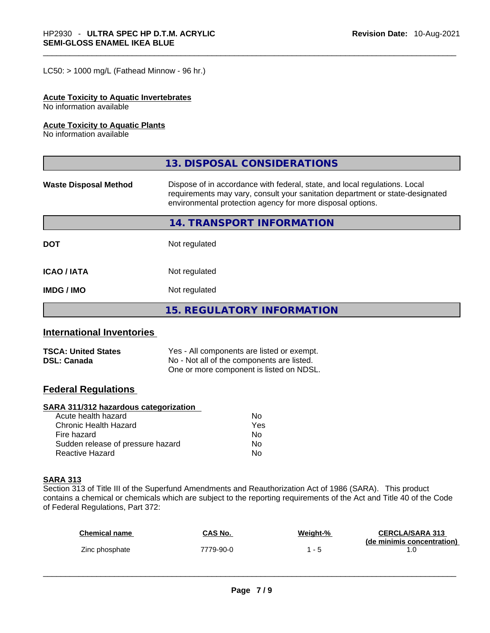$LC50:$  > 1000 mg/L (Fathead Minnow - 96 hr.)

#### **Acute Toxicity to Aquatic Invertebrates**

No information available

#### **Acute Toxicity to Aquatic Plants**

No information available

|                              | 13. DISPOSAL CONSIDERATIONS                                                                                                                                                                                               |  |
|------------------------------|---------------------------------------------------------------------------------------------------------------------------------------------------------------------------------------------------------------------------|--|
| <b>Waste Disposal Method</b> | Dispose of in accordance with federal, state, and local regulations. Local<br>requirements may vary, consult your sanitation department or state-designated<br>environmental protection agency for more disposal options. |  |
|                              | 14. TRANSPORT INFORMATION                                                                                                                                                                                                 |  |
| <b>DOT</b>                   | Not regulated                                                                                                                                                                                                             |  |
| <b>ICAO/IATA</b>             | Not regulated                                                                                                                                                                                                             |  |
| <b>IMDG / IMO</b>            | Not regulated                                                                                                                                                                                                             |  |
|                              | 15. REGULATORY INFORMATION                                                                                                                                                                                                |  |

#### **International Inventories**

| <b>TSCA: United States</b> | Yes - All components are listed or exempt. |
|----------------------------|--------------------------------------------|
| <b>DSL: Canada</b>         | No - Not all of the components are listed. |
|                            | One or more component is listed on NDSL.   |

#### **Federal Regulations**

#### **SARA 311/312 hazardous categorization**

| Acute health hazard               | Nο  |
|-----------------------------------|-----|
| Chronic Health Hazard             | Yes |
| Fire hazard                       | N٥  |
| Sudden release of pressure hazard | No  |
| Reactive Hazard                   | N٥  |

#### **SARA 313**

Section 313 of Title III of the Superfund Amendments and Reauthorization Act of 1986 (SARA). This product contains a chemical or chemicals which are subject to the reporting requirements of the Act and Title 40 of the Code of Federal Regulations, Part 372:

| <b>Chemical name</b> | CAS No.   | <u>Weight-%</u> | <b>CERCLA/SARA 313</b><br>(de minimis concentration) |
|----------------------|-----------|-----------------|------------------------------------------------------|
| Zinc phosphate       | 7779-90-0 | - 5             |                                                      |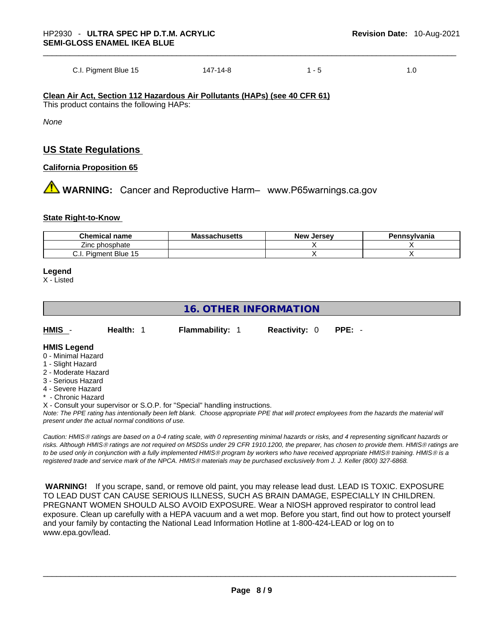C.I. Pigment Blue 15 147-14-8 1 - 5 1.0

**Clean Air Act,Section 112 Hazardous Air Pollutants (HAPs) (see 40 CFR 61)** This product contains the following HAPs:

*None*

#### **US State Regulations**

#### **California Proposition 65**

 **WARNING:** Cancer and Reproductive Harm– www.P65warnings.ca.gov

#### **State Right-to-Know**

| <b>Chemical</b><br>name                  | <b>Massachusetts</b> | <sup>,</sup> Jersev<br>New | ennsvlvania<br>▫<br>еп |
|------------------------------------------|----------------------|----------------------------|------------------------|
| phosphate<br>∠ınc                        |                      |                            |                        |
| . Blue 15<br>nent<br>-<br>Piûr<br>v.i. i |                      |                            |                        |

#### **Legend**

X - Listed

#### **16. OTHER INFORMATION**

**HMIS** - **Health:** 1 **Flammability:** 1 **Reactivity:** 0 **PPE:** -

#### **HMIS Legend**

- 0 Minimal Hazard
- 1 Slight Hazard
- 2 Moderate Hazard
- 3 Serious Hazard
- 4 Severe Hazard
- Chronic Hazard

X - Consult your supervisor or S.O.P. for "Special" handling instructions.

Note: The PPE rating has intentionally been left blank. Choose appropriate PPE that will protect employees from the hazards the material will *present under the actual normal conditions of use.* 

*Caution: HMISÒ ratings are based on a 0-4 rating scale, with 0 representing minimal hazards or risks, and 4 representing significant hazards or risks. Although HMISÒ ratings are not required on MSDSs under 29 CFR 1910.1200, the preparer, has chosen to provide them. HMISÒ ratings are to be used only in conjunction with a fully implemented HMISÒ program by workers who have received appropriate HMISÒ training. HMISÒ is a registered trade and service mark of the NPCA. HMISÒ materials may be purchased exclusively from J. J. Keller (800) 327-6868.* 

 **WARNING!** If you scrape, sand, or remove old paint, you may release lead dust. LEAD IS TOXIC. EXPOSURE TO LEAD DUST CAN CAUSE SERIOUS ILLNESS, SUCH AS BRAIN DAMAGE, ESPECIALLY IN CHILDREN. PREGNANT WOMEN SHOULD ALSO AVOID EXPOSURE.Wear a NIOSH approved respirator to control lead exposure. Clean up carefully with a HEPA vacuum and a wet mop. Before you start, find out how to protect yourself and your family by contacting the National Lead Information Hotline at 1-800-424-LEAD or log on to www.epa.gov/lead.